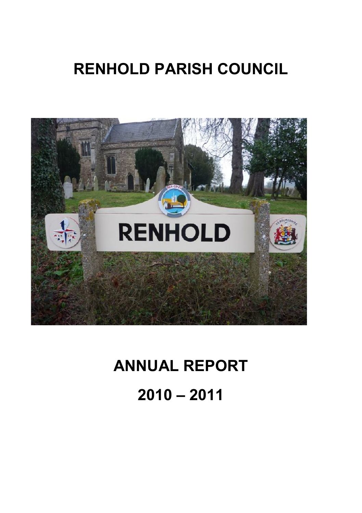## **RENHOLD PARISH COUNCIL**



# **ANNUAL REPORT**

**2010 – 2011**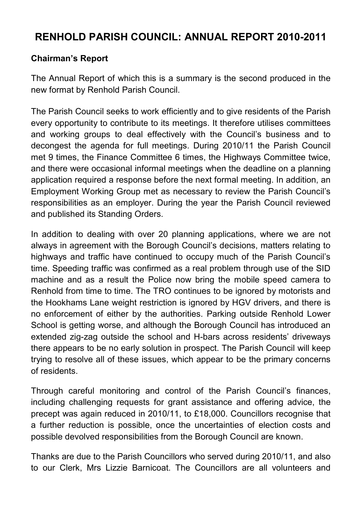## **RENHOLD PARISH COUNCIL: ANNUAL REPORT 2010-2011**

## **Chairman's Report**

The Annual Report of which this is a summary is the second produced in the new format by Renhold Parish Council.

The Parish Council seeks to work efficiently and to give residents of the Parish every opportunity to contribute to its meetings. It therefore utilises committees and working groups to deal effectively with the Council's business and to decongest the agenda for full meetings. During 2010/11 the Parish Council met 9 times, the Finance Committee 6 times, the Highways Committee twice, and there were occasional informal meetings when the deadline on a planning application required a response before the next formal meeting. In addition, an Employment Working Group met as necessary to review the Parish Council's responsibilities as an employer. During the year the Parish Council reviewed and published its Standing Orders.

In addition to dealing with over 20 planning applications, where we are not always in agreement with the Borough Council's decisions, matters relating to highways and traffic have continued to occupy much of the Parish Council's time. Speeding traffic was confirmed as a real problem through use of the SID machine and as a result the Police now bring the mobile speed camera to Renhold from time to time. The TRO continues to be ignored by motorists and the Hookhams Lane weight restriction is ignored by HGV drivers, and there is no enforcement of either by the authorities. Parking outside Renhold Lower School is getting worse, and although the Borough Council has introduced an extended zig-zag outside the school and H-bars across residents' driveways there appears to be no early solution in prospect. The Parish Council will keep trying to resolve all of these issues, which appear to be the primary concerns of residents.

Through careful monitoring and control of the Parish Council's finances, including challenging requests for grant assistance and offering advice, the precept was again reduced in 2010/11, to £18,000. Councillors recognise that a further reduction is possible, once the uncertainties of election costs and possible devolved responsibilities from the Borough Council are known.

Thanks are due to the Parish Councillors who served during 2010/11, and also to our Clerk, Mrs Lizzie Barnicoat. The Councillors are all volunteers and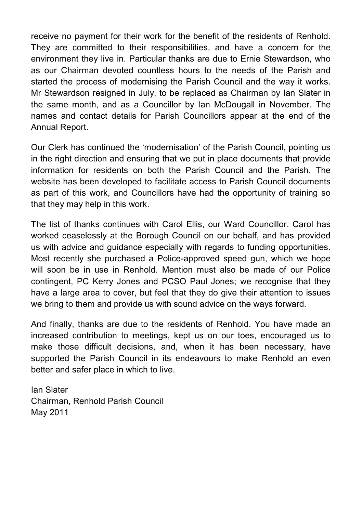receive no payment for their work for the benefit of the residents of Renhold. They are committed to their responsibilities, and have a concern for the environment they live in. Particular thanks are due to Ernie Stewardson, who as our Chairman devoted countless hours to the needs of the Parish and started the process of modernising the Parish Council and the way it works. Mr Stewardson resigned in July, to be replaced as Chairman by Ian Slater in the same month, and as a Councillor by Ian McDougall in November. The names and contact details for Parish Councillors appear at the end of the Annual Report.

Our Clerk has continued the 'modernisation' of the Parish Council, pointing us in the right direction and ensuring that we put in place documents that provide information for residents on both the Parish Council and the Parish. The website has been developed to facilitate access to Parish Council documents as part of this work, and Councillors have had the opportunity of training so that they may help in this work.

The list of thanks continues with Carol Ellis, our Ward Councillor. Carol has worked ceaselessly at the Borough Council on our behalf, and has provided us with advice and guidance especially with regards to funding opportunities. Most recently she purchased a Police-approved speed gun, which we hope will soon be in use in Renhold. Mention must also be made of our Police contingent, PC Kerry Jones and PCSO Paul Jones; we recognise that they have a large area to cover, but feel that they do give their attention to issues we bring to them and provide us with sound advice on the ways forward.

And finally, thanks are due to the residents of Renhold. You have made an increased contribution to meetings, kept us on our toes, encouraged us to make those difficult decisions, and, when it has been necessary, have supported the Parish Council in its endeavours to make Renhold an even better and safer place in which to live.

Ian Slater Chairman, Renhold Parish Council May 2011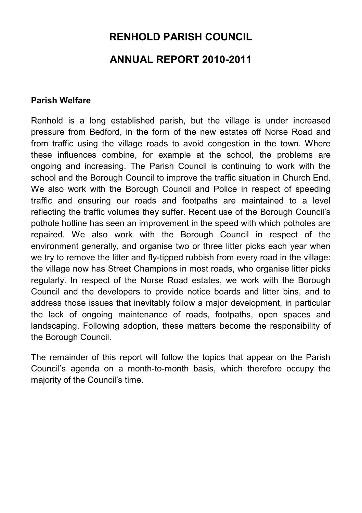## **RENHOLD PARISH COUNCIL ANNUAL REPORT 2010-2011**

#### **Parish Welfare**

Renhold is a long established parish, but the village is under increased pressure from Bedford, in the form of the new estates off Norse Road and from traffic using the village roads to avoid congestion in the town. Where these influences combine, for example at the school, the problems are ongoing and increasing. The Parish Council is continuing to work with the school and the Borough Council to improve the traffic situation in Church End. We also work with the Borough Council and Police in respect of speeding traffic and ensuring our roads and footpaths are maintained to a level reflecting the traffic volumes they suffer. Recent use of the Borough Council's pothole hotline has seen an improvement in the speed with which potholes are repaired. We also work with the Borough Council in respect of the environment generally, and organise two or three litter picks each year when we try to remove the litter and fly-tipped rubbish from every road in the village: the village now has Street Champions in most roads, who organise litter picks regularly. In respect of the Norse Road estates, we work with the Borough Council and the developers to provide notice boards and litter bins, and to address those issues that inevitably follow a major development, in particular the lack of ongoing maintenance of roads, footpaths, open spaces and landscaping. Following adoption, these matters become the responsibility of the Borough Council.

The remainder of this report will follow the topics that appear on the Parish Council's agenda on a month-to-month basis, which therefore occupy the majority of the Council's time.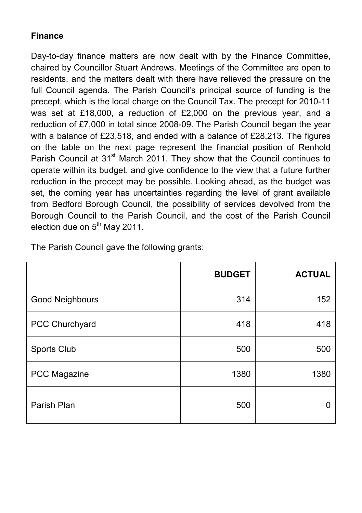## **Finance**

Day-to-day finance matters are now dealt with by the Finance Committee, chaired by Councillor Stuart Andrews. Meetings of the Committee are open to residents, and the matters dealt with there have relieved the pressure on the full Council agenda. The Parish Council's principal source of funding is the precept, which is the local charge on the Council Tax. The precept for 2010-11 was set at £18,000, a reduction of £2,000 on the previous year, and a reduction of £7,000 in total since 2008-09. The Parish Council began the year with a balance of £23,518, and ended with a balance of £28,213. The figures on the table on the next page represent the financial position of Renhold Parish Council at 31<sup>st</sup> March 2011. They show that the Council continues to operate within its budget, and give confidence to the view that a future further reduction in the precept may be possible. Looking ahead, as the budget was set, the coming year has uncertainties regarding the level of grant available from Bedford Borough Council, the possibility of services devolved from the Borough Council to the Parish Council, and the cost of the Parish Council election due on  $5<sup>th</sup>$  May 2011.

|                 | <b>BUDGET</b> | <b>ACTUAL</b> |
|-----------------|---------------|---------------|
| Good Neighbours | 314           | 152           |
| PCC Churchyard  | 418           | 418           |
| Sports Club     | 500           | 500           |
| PCC Magazine    | 1380          | 1380          |
| Parish Plan     | 500           | n             |

The Parish Council gave the following grants: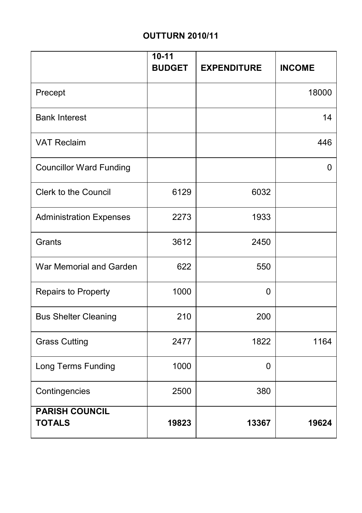## **OUTTURN 2010/11**

|                                        | $10 - 11$<br><b>BUDGET</b> | <b>EXPENDITURE</b> | <b>INCOME</b> |
|----------------------------------------|----------------------------|--------------------|---------------|
| Precept                                |                            |                    | 18000         |
| <b>Bank Interest</b>                   |                            |                    | 14            |
| <b>VAT Reclaim</b>                     |                            |                    | 446           |
| <b>Councillor Ward Funding</b>         |                            |                    | 0             |
| <b>Clerk to the Council</b>            | 6129                       | 6032               |               |
| <b>Administration Expenses</b>         | 2273                       | 1933               |               |
| Grants                                 | 3612                       | 2450               |               |
| War Memorial and Garden                | 622                        | 550                |               |
| Repairs to Property                    | 1000                       | 0                  |               |
| <b>Bus Shelter Cleaning</b>            | 210                        | 200                |               |
| <b>Grass Cutting</b>                   | 2477                       | 1822               | 1164          |
| Long Terms Funding                     | 1000                       | 0                  |               |
| Contingencies                          | 2500                       | 380                |               |
| <b>PARISH COUNCIL</b><br><b>TOTALS</b> | 19823                      | 13367              | 19624         |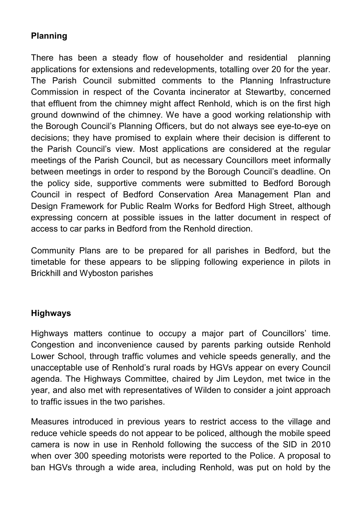## **Planning**

There has been a steady flow of householder and residential planning applications for extensions and redevelopments, totalling over 20 for the year. The Parish Council submitted comments to the Planning Infrastructure Commission in respect of the Covanta incinerator at Stewartby, concerned that effluent from the chimney might affect Renhold, which is on the first high ground downwind of the chimney. We have a good working relationship with the Borough Council's Planning Officers, but do not always see eye-to-eye on decisions; they have promised to explain where their decision is different to the Parish Council's view. Most applications are considered at the regular meetings of the Parish Council, but as necessary Councillors meet informally between meetings in order to respond by the Borough Council's deadline. On the policy side, supportive comments were submitted to Bedford Borough Council in respect of Bedford Conservation Area Management Plan and Design Framework for Public Realm Works for Bedford High Street, although expressing concern at possible issues in the latter document in respect of access to car parks in Bedford from the Renhold direction.

Community Plans are to be prepared for all parishes in Bedford, but the timetable for these appears to be slipping following experience in pilots in Brickhill and Wyboston parishes

### **Highways**

Highways matters continue to occupy a major part of Councillors' time. Congestion and inconvenience caused by parents parking outside Renhold Lower School, through traffic volumes and vehicle speeds generally, and the unacceptable use of Renhold's rural roads by HGVs appear on every Council agenda. The Highways Committee, chaired by Jim Leydon, met twice in the year, and also met with representatives of Wilden to consider a joint approach to traffic issues in the two parishes.

Measures introduced in previous years to restrict access to the village and reduce vehicle speeds do not appear to be policed, although the mobile speed camera is now in use in Renhold following the success of the SID in 2010 when over 300 speeding motorists were reported to the Police. A proposal to ban HGVs through a wide area, including Renhold, was put on hold by the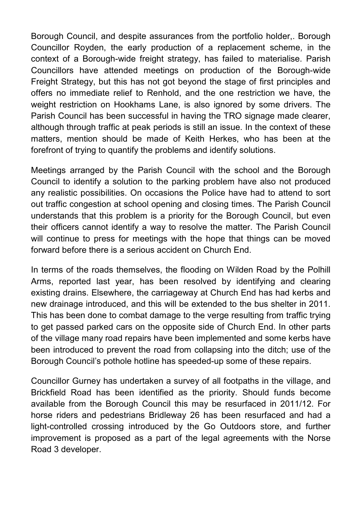Borough Council, and despite assurances from the portfolio holder,. Borough Councillor Royden, the early production of a replacement scheme, in the context of a Borough-wide freight strategy, has failed to materialise. Parish Councillors have attended meetings on production of the Borough-wide Freight Strategy, but this has not got beyond the stage of first principles and offers no immediate relief to Renhold, and the one restriction we have, the weight restriction on Hookhams Lane, is also ignored by some drivers. The Parish Council has been successful in having the TRO signage made clearer, although through traffic at peak periods is still an issue. In the context of these matters, mention should be made of Keith Herkes, who has been at the forefront of trying to quantify the problems and identify solutions.

Meetings arranged by the Parish Council with the school and the Borough Council to identify a solution to the parking problem have also not produced any realistic possibilities. On occasions the Police have had to attend to sort out traffic congestion at school opening and closing times. The Parish Council understands that this problem is a priority for the Borough Council, but even their officers cannot identify a way to resolve the matter. The Parish Council will continue to press for meetings with the hope that things can be moved forward before there is a serious accident on Church End.

In terms of the roads themselves, the flooding on Wilden Road by the Polhill Arms, reported last year, has been resolved by identifying and clearing existing drains. Elsewhere, the carriageway at Church End has had kerbs and new drainage introduced, and this will be extended to the bus shelter in 2011. This has been done to combat damage to the verge resulting from traffic trying to get passed parked cars on the opposite side of Church End. In other parts of the village many road repairs have been implemented and some kerbs have been introduced to prevent the road from collapsing into the ditch; use of the Borough Council's pothole hotline has speeded-up some of these repairs.

Councillor Gurney has undertaken a survey of all footpaths in the village, and Brickfield Road has been identified as the priority. Should funds become available from the Borough Council this may be resurfaced in 2011/12. For horse riders and pedestrians Bridleway 26 has been resurfaced and had a light-controlled crossing introduced by the Go Outdoors store, and further improvement is proposed as a part of the legal agreements with the Norse Road 3 developer.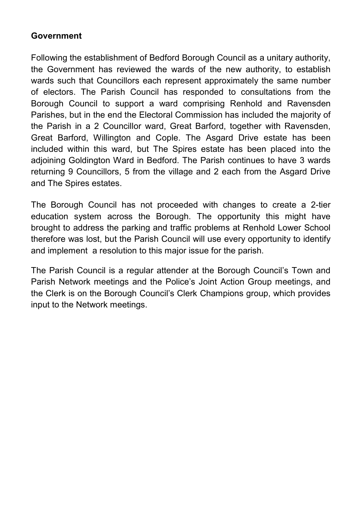#### **Government**

Following the establishment of Bedford Borough Council as a unitary authority, the Government has reviewed the wards of the new authority, to establish wards such that Councillors each represent approximately the same number of electors. The Parish Council has responded to consultations from the Borough Council to support a ward comprising Renhold and Ravensden Parishes, but in the end the Electoral Commission has included the majority of the Parish in a 2 Councillor ward, Great Barford, together with Ravensden, Great Barford, Willington and Cople. The Asgard Drive estate has been included within this ward, but The Spires estate has been placed into the adjoining Goldington Ward in Bedford. The Parish continues to have 3 wards returning 9 Councillors, 5 from the village and 2 each from the Asgard Drive and The Spires estates.

The Borough Council has not proceeded with changes to create a 2-tier education system across the Borough. The opportunity this might have brought to address the parking and traffic problems at Renhold Lower School therefore was lost, but the Parish Council will use every opportunity to identify and implement a resolution to this major issue for the parish.

The Parish Council is a regular attender at the Borough Council's Town and Parish Network meetings and the Police's Joint Action Group meetings, and the Clerk is on the Borough Council's Clerk Champions group, which provides input to the Network meetings.